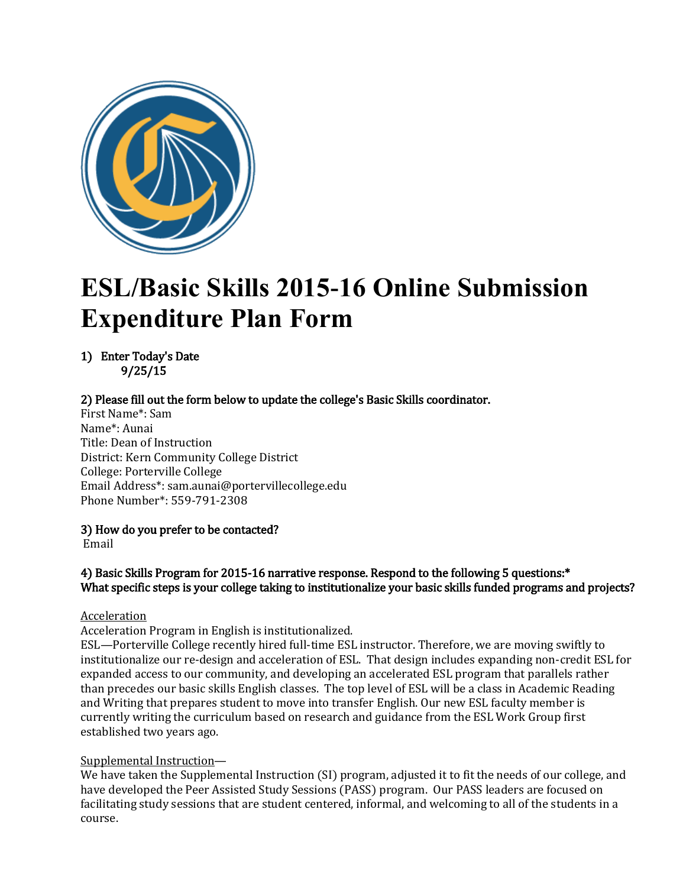

# **ESL/Basic Skills 2015-16 Online Submission Expenditure Plan Form**

1) Enter Today's Date 9/25/15

### 2) Please fill out the form below to update the college's Basic Skills coordinator.

First Name\*: Sam Name\*: Aunai Title: Dean of Instruction District: Kern Community College District College: Porterville College Email Address\*: sam.aunai@portervillecollege.edu Phone Number\*: 559-791-2308

3) How do you prefer to be contacted?

Email

### 4) Basic Skills Program for 2015-16 narrative response. Respond to the following 5 questions:\* What specific steps is your college taking to institutionalize your basic skills funded programs and projects?

### Acceleration

Acceleration Program in English is institutionalized.

ESL—Porterville College recently hired full-time ESL instructor. Therefore, we are moving swiftly to institutionalize our re-design and acceleration of ESL. That design includes expanding non-credit ESL for expanded access to our community, and developing an accelerated ESL program that parallels rather than precedes our basic skills English classes. The top level of ESL will be a class in Academic Reading and Writing that prepares student to move into transfer English. Our new ESL faculty member is currently writing the curriculum based on research and guidance from the ESL Work Group first established two years ago.

## Supplemental Instruction—

We have taken the Supplemental Instruction (SI) program, adjusted it to fit the needs of our college, and have developed the Peer Assisted Study Sessions (PASS) program. Our PASS leaders are focused on facilitating study sessions that are student centered, informal, and welcoming to all of the students in a course.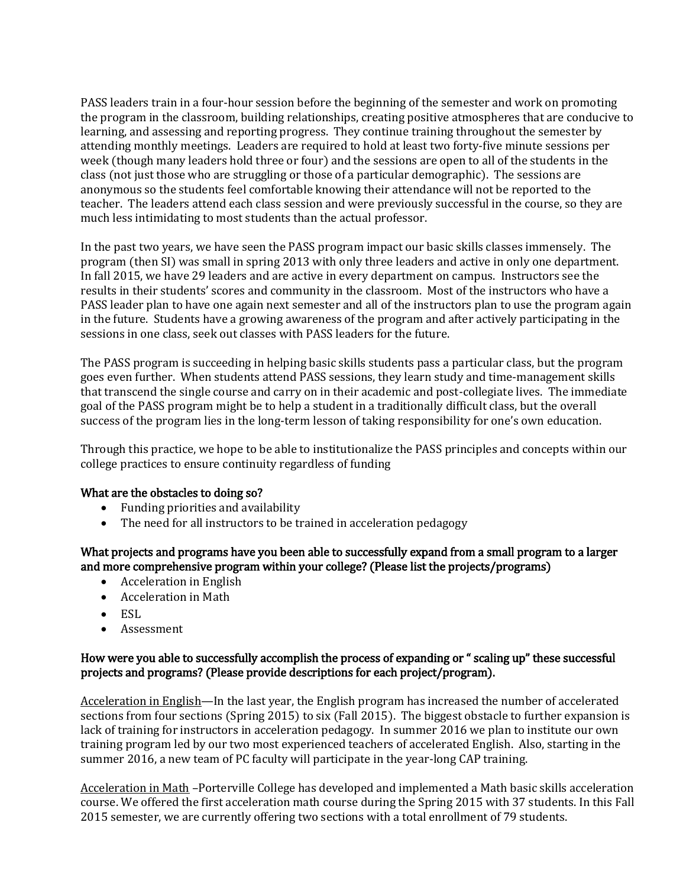PASS leaders train in a four-hour session before the beginning of the semester and work on promoting the program in the classroom, building relationships, creating positive atmospheres that are conducive to learning, and assessing and reporting progress. They continue training throughout the semester by attending monthly meetings. Leaders are required to hold at least two forty-five minute sessions per week (though many leaders hold three or four) and the sessions are open to all of the students in the class (not just those who are struggling or those of a particular demographic). The sessions are anonymous so the students feel comfortable knowing their attendance will not be reported to the teacher. The leaders attend each class session and were previously successful in the course, so they are much less intimidating to most students than the actual professor.

In the past two years, we have seen the PASS program impact our basic skills classes immensely. The program (then SI) was small in spring 2013 with only three leaders and active in only one department. In fall 2015, we have 29 leaders and are active in every department on campus. Instructors see the results in their students' scores and community in the classroom. Most of the instructors who have a PASS leader plan to have one again next semester and all of the instructors plan to use the program again in the future. Students have a growing awareness of the program and after actively participating in the sessions in one class, seek out classes with PASS leaders for the future.

The PASS program is succeeding in helping basic skills students pass a particular class, but the program goes even further. When students attend PASS sessions, they learn study and time-management skills that transcend the single course and carry on in their academic and post-collegiate lives. The immediate goal of the PASS program might be to help a student in a traditionally difficult class, but the overall success of the program lies in the long-term lesson of taking responsibility for one's own education.

Through this practice, we hope to be able to institutionalize the PASS principles and concepts within our college practices to ensure continuity regardless of funding

### What are the obstacles to doing so?

- Funding priorities and availability
- The need for all instructors to be trained in acceleration pedagogy

### What projects and programs have you been able to successfully expand from a small program to a larger and more comprehensive program within your college? (Please list the projects/programs)

- Acceleration in English
- Acceleration in Math
- $\bullet$  ESL
- Assessment

### How were you able to successfully accomplish the process of expanding or " scaling up" these successful projects and programs? (Please provide descriptions for each project/program).

Acceleration in English—In the last year, the English program has increased the number of accelerated sections from four sections (Spring 2015) to six (Fall 2015). The biggest obstacle to further expansion is lack of training for instructors in acceleration pedagogy. In summer 2016 we plan to institute our own training program led by our two most experienced teachers of accelerated English. Also, starting in the summer 2016, a new team of PC faculty will participate in the year-long CAP training.

Acceleration in Math –Porterville College has developed and implemented a Math basic skills acceleration course. We offered the first acceleration math course during the Spring 2015 with 37 students. In this Fall 2015 semester, we are currently offering two sections with a total enrollment of 79 students.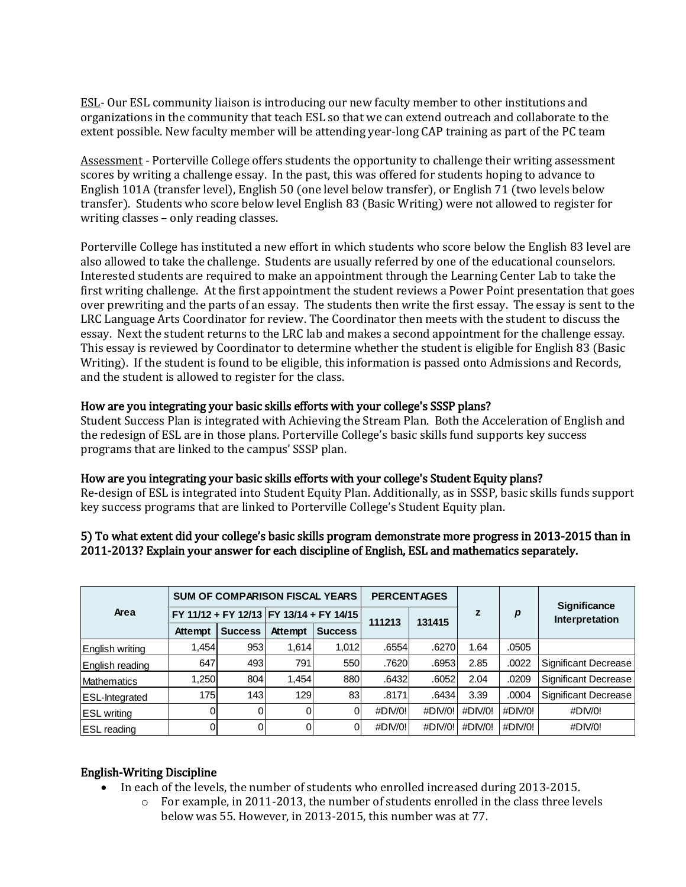ESL- Our ESL community liaison is introducing our new faculty member to other institutions and organizations in the community that teach ESL so that we can extend outreach and collaborate to the extent possible. New faculty member will be attending year-long CAP training as part of the PC team

Assessment - Porterville College offers students the opportunity to challenge their writing assessment scores by writing a challenge essay. In the past, this was offered for students hoping to advance to English 101A (transfer level), English 50 (one level below transfer), or English 71 (two levels below transfer). Students who score below level English 83 (Basic Writing) were not allowed to register for writing classes – only reading classes.

Porterville College has instituted a new effort in which students who score below the English 83 level are also allowed to take the challenge. Students are usually referred by one of the educational counselors. Interested students are required to make an appointment through the Learning Center Lab to take the first writing challenge. At the first appointment the student reviews a Power Point presentation that goes over prewriting and the parts of an essay. The students then write the first essay. The essay is sent to the LRC Language Arts Coordinator for review. The Coordinator then meets with the student to discuss the essay. Next the student returns to the LRC lab and makes a second appointment for the challenge essay. This essay is reviewed by Coordinator to determine whether the student is eligible for English 83 (Basic Writing). If the student is found to be eligible, this information is passed onto Admissions and Records, and the student is allowed to register for the class.

### How are you integrating your basic skills efforts with your college's SSSP plans?

Student Success Plan is integrated with Achieving the Stream Plan. Both the Acceleration of English and the redesign of ESL are in those plans. Porterville College's basic skills fund supports key success programs that are linked to the campus' SSSP plan.

#### How are you integrating your basic skills efforts with your college's Student Equity plans?

Re-design of ESL is integrated into Student Equity Plan. Additionally, as in SSSP, basic skills funds support key success programs that are linked to Porterville College's Student Equity plan.

#### 5) To what extent did your college's basic skills program demonstrate more progress in 2013-2015 than in 2011-2013? Explain your answer for each discipline of English, ESL and mathematics separately.

| Area                  |                                         | <b>SUM OF COMPARISON FISCAL YEARS</b> |         | <b>PERCENTAGES</b> |         |         |         | <b>Significance</b> |                      |  |
|-----------------------|-----------------------------------------|---------------------------------------|---------|--------------------|---------|---------|---------|---------------------|----------------------|--|
|                       | FY 11/12 + FY 12/13 FY 13/14 + FY 14/15 |                                       |         |                    | 111213  | 131415  | z       | р                   | Interpretation       |  |
|                       | Attempt                                 | <b>Success</b>                        | Attempt | <b>Success</b>     |         |         |         |                     |                      |  |
| English writing       | 1,454                                   | 953                                   | 1,614   | 1,012              | .6554   | .6270   | 1.64    | .0505               |                      |  |
| English reading       | 647                                     | 493                                   | 791     | 550                | .7620   | .6953   | 2.85    | .0022               | Significant Decrease |  |
| <b>Mathematics</b>    | 1,250                                   | 804                                   | 1,454   | 880                | .6432   | .6052   | 2.04    | .0209               | Significant Decrease |  |
| <b>ESL-Integrated</b> | 175                                     | 143                                   | 129     | 83                 | .8171   | .6434   | 3.39    | .0004               | Significant Decrease |  |
| <b>ESL</b> writing    |                                         | 0                                     |         |                    | #DIV/0! | #DIV/0! | #DIV/0! | #DIV/0!             | #DIV/0!              |  |
| <b>ESL</b> reading    | ი                                       | ΩI                                    |         |                    | #DIV/0! | #DIV/0! | #DIV/0! | #DIV/0!             | #DIV/0!              |  |

### English-Writing Discipline

- In each of the levels, the number of students who enrolled increased during 2013-2015.
	- $\circ$  For example, in 2011-2013, the number of students enrolled in the class three levels below was 55. However, in 2013-2015, this number was at 77.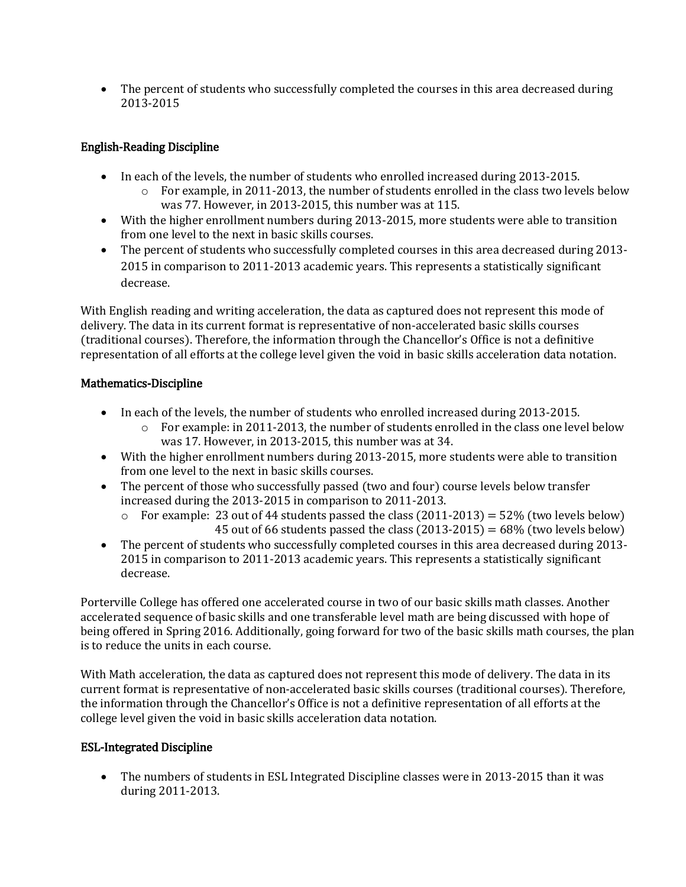• The percent of students who successfully completed the courses in this area decreased during 2013-2015

## English-Reading Discipline

- In each of the levels, the number of students who enrolled increased during 2013-2015.
	- $\circ$  For example, in 2011-2013, the number of students enrolled in the class two levels below was 77. However, in 2013-2015, this number was at 115.
- With the higher enrollment numbers during 2013-2015, more students were able to transition from one level to the next in basic skills courses.
- The percent of students who successfully completed courses in this area decreased during 2013- 2015 in comparison to 2011-2013 academic years. This represents a statistically significant decrease.

With English reading and writing acceleration, the data as captured does not represent this mode of delivery. The data in its current format is representative of non-accelerated basic skills courses (traditional courses). Therefore, the information through the Chancellor's Office is not a definitive representation of all efforts at the college level given the void in basic skills acceleration data notation.

## Mathematics-Discipline

- In each of the levels, the number of students who enrolled increased during 2013-2015.
	- $\circ$  For example: in 2011-2013, the number of students enrolled in the class one level below was 17. However, in 2013-2015, this number was at 34.
- With the higher enrollment numbers during 2013-2015, more students were able to transition from one level to the next in basic skills courses.
- The percent of those who successfully passed (two and four) course levels below transfer increased during the 2013-2015 in comparison to 2011-2013.
	- $\circ$  For example: 23 out of 44 students passed the class (2011-2013) = 52% (two levels below) 45 out of 66 students passed the class  $(2013-2015) = 68\%$  (two levels below)
- The percent of students who successfully completed courses in this area decreased during 2013-2015 in comparison to 2011-2013 academic years. This represents a statistically significant decrease.

Porterville College has offered one accelerated course in two of our basic skills math classes. Another accelerated sequence of basic skills and one transferable level math are being discussed with hope of being offered in Spring 2016. Additionally, going forward for two of the basic skills math courses, the plan is to reduce the units in each course.

With Math acceleration, the data as captured does not represent this mode of delivery. The data in its current format is representative of non-accelerated basic skills courses (traditional courses). Therefore, the information through the Chancellor's Office is not a definitive representation of all efforts at the college level given the void in basic skills acceleration data notation.

## ESL-Integrated Discipline

• The numbers of students in ESL Integrated Discipline classes were in 2013-2015 than it was during 2011-2013.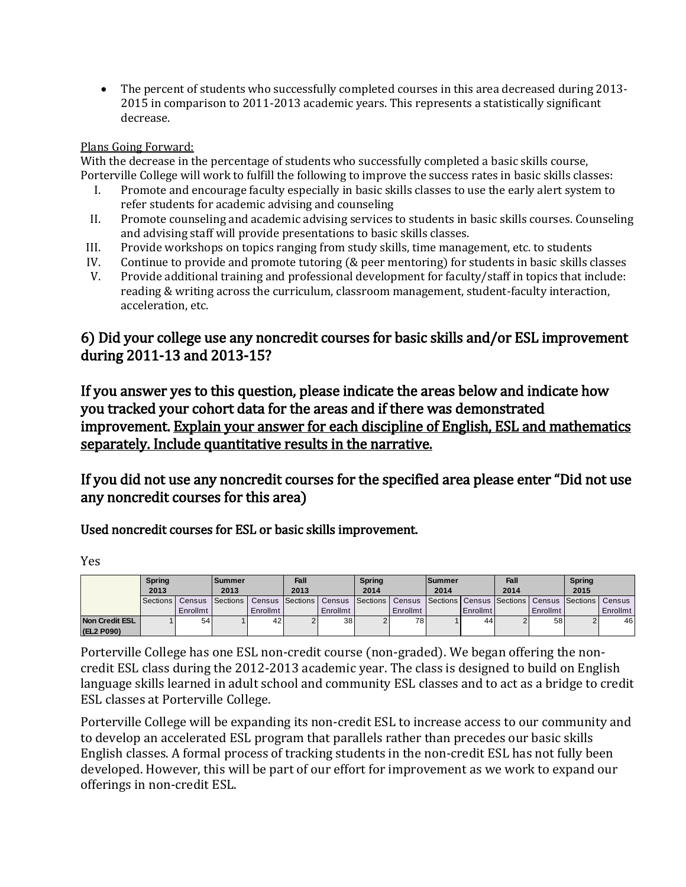• The percent of students who successfully completed courses in this area decreased during 2013-2015 in comparison to 2011-2013 academic years. This represents a statistically significant decrease.

### Plans Going Forward:

With the decrease in the percentage of students who successfully completed a basic skills course, Porterville College will work to fulfill the following to improve the success rates in basic skills classes:

- I. Promote and encourage faculty especially in basic skills classes to use the early alert system to refer students for academic advising and counseling
- II. Promote counseling and academic advising services to students in basic skills courses. Counseling and advising staff will provide presentations to basic skills classes.
- III. Provide workshops on topics ranging from study skills, time management, etc. to students
- IV. Continue to provide and promote tutoring (& peer mentoring) for students in basic skills classes
- V. Provide additional training and professional development for faculty/staff in topics that include: reading & writing across the curriculum, classroom management, student-faculty interaction, acceleration, etc.

## 6) Did your college use any noncredit courses for basic skills and/or ESL improvement during 2011-13 and 2013-15?

If you answer yes to this question, please indicate the areas below and indicate how you tracked your cohort data for the areas and if there was demonstrated improvement. Explain your answer for each discipline of English, ESL and mathematics separately. Include quantitative results in the narrative.

If you did not use any noncredit courses for the specified area please enter "Did not use any noncredit courses for this area)

Used noncredit courses for ESL or basic skills improvement.

Yes

|                       | <b>Spring</b> |                   | <b>Summer</b> |          | Fall |                                                                                                                       | <b>Spring</b> |          | lSummer |          | Fall |                 | <b>Spring</b> |          |
|-----------------------|---------------|-------------------|---------------|----------|------|-----------------------------------------------------------------------------------------------------------------------|---------------|----------|---------|----------|------|-----------------|---------------|----------|
|                       | 2013          |                   | 2013          |          | 2013 |                                                                                                                       | 2014          |          | 2014    |          | 2014 |                 | 2015          |          |
|                       |               | Sections   Census |               |          |      | Sections   Census   Sections   Census   Sections   Census   Sections   Census   Sections   Census   Sections   Census |               |          |         |          |      |                 |               |          |
|                       |               | Enrollmt          |               | Enrollmt |      | Enrollmt                                                                                                              |               | Enrollmt |         | Enrollmt |      | <b>Enrollmt</b> |               | Enrollmt |
| <b>Non Credit ESL</b> |               | 54                |               | 42       |      | 38 <sup>1</sup>                                                                                                       |               | 78 I     |         | 44       |      | 58              |               | 46       |
| (EL2 P090)            |               |                   |               |          |      |                                                                                                                       |               |          |         |          |      |                 |               |          |

Porterville College has one ESL non-credit course (non-graded). We began offering the noncredit ESL class during the 2012-2013 academic year. The class is designed to build on English language skills learned in adult school and community ESL classes and to act as a bridge to credit ESL classes at Porterville College.

Porterville College will be expanding its non-credit ESL to increase access to our community and to develop an accelerated ESL program that parallels rather than precedes our basic skills English classes. A formal process of tracking students in the non-credit ESL has not fully been developed. However, this will be part of our effort for improvement as we work to expand our offerings in non-credit ESL.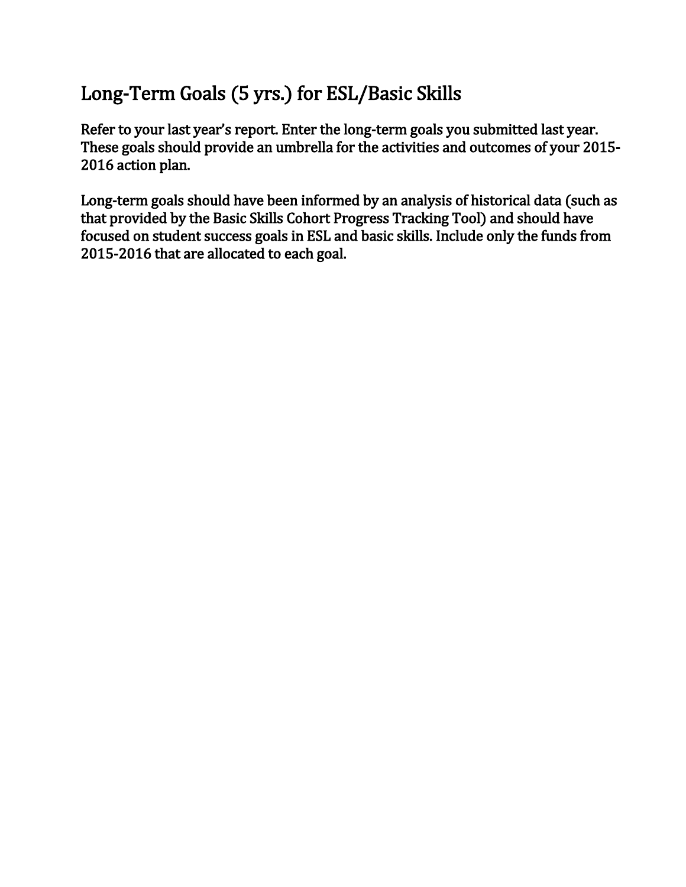## Long-Term Goals (5 yrs.) for ESL/Basic Skills

Refer to your last year's report. Enter the long-term goals you submitted last year. These goals should provide an umbrella for the activities and outcomes of your 2015- 2016 action plan.

Long-term goals should have been informed by an analysis of historical data (such as that provided by the Basic Skills Cohort Progress Tracking Tool) and should have focused on student success goals in ESL and basic skills. Include only the funds from 2015-2016 that are allocated to each goal.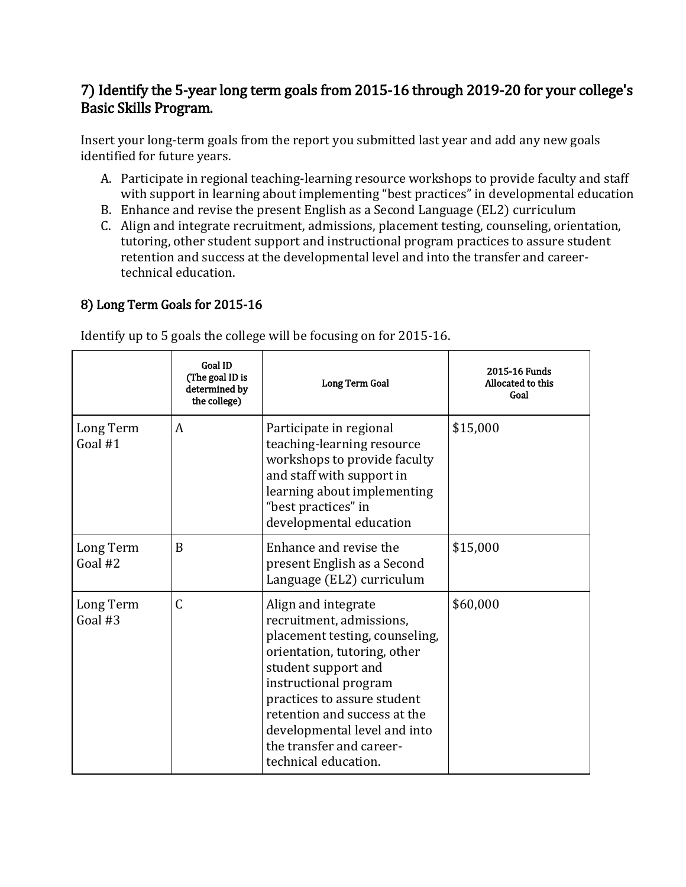## 7) Identify the 5-year long term goals from 2015-16 through 2019-20 for your college's Basic Skills Program.

Insert your long-term goals from the report you submitted last year and add any new goals identified for future years.

- A. Participate in regional teaching-learning resource workshops to provide faculty and staff with support in learning about implementing "best practices" in developmental education
- B. Enhance and revise the present English as a Second Language (EL2) curriculum
- C. Align and integrate recruitment, admissions, placement testing, counseling, orientation, tutoring, other student support and instructional program practices to assure student retention and success at the developmental level and into the transfer and careertechnical education.

## 8) Long Term Goals for 2015-16

Identify up to 5 goals the college will be focusing on for 2015-16.

|                        | <b>Goal ID</b><br>(The goal ID is<br>determined by<br>the college) | Long Term Goal                                                                                                                                                                                                                                                                                                       | 2015-16 Funds<br>Allocated to this<br>Goal |
|------------------------|--------------------------------------------------------------------|----------------------------------------------------------------------------------------------------------------------------------------------------------------------------------------------------------------------------------------------------------------------------------------------------------------------|--------------------------------------------|
| Long Term<br>Goal $#1$ | A                                                                  | Participate in regional<br>teaching-learning resource<br>workshops to provide faculty<br>and staff with support in<br>learning about implementing<br>"best practices" in<br>developmental education                                                                                                                  | \$15,000                                   |
| Long Term<br>Goal #2   | B                                                                  | Enhance and revise the<br>present English as a Second<br>Language (EL2) curriculum                                                                                                                                                                                                                                   | \$15,000                                   |
| Long Term<br>Goal #3   | $\mathcal{C}$                                                      | Align and integrate<br>recruitment, admissions,<br>placement testing, counseling,<br>orientation, tutoring, other<br>student support and<br>instructional program<br>practices to assure student<br>retention and success at the<br>developmental level and into<br>the transfer and career-<br>technical education. | \$60,000                                   |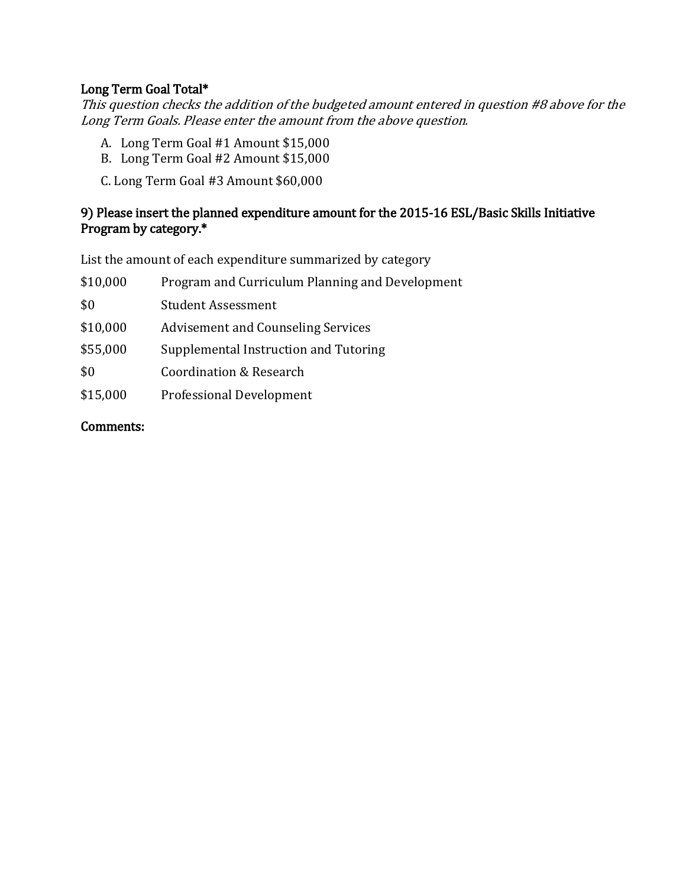## Long Term Goal Total\*

This question checks the addition of the budgeted amount entered in question #8 above for the Long Term Goals. Please enter the amount from the above question.

- A. Long Term Goal #1 Amount \$15,000
- B. Long Term Goal #2 Amount \$15,000
- C. Long Term Goal #3 Amount \$60,000

## 9) Please insert the planned expenditure amount for the 2015-16 ESL/Basic Skills Initiative Program by category.\*

List the amount of each expenditure summarized by category

| \$10,000 | Program and Curriculum Planning and Development |
|----------|-------------------------------------------------|
| \$0      | <b>Student Assessment</b>                       |
| \$10,000 | <b>Advisement and Counseling Services</b>       |
| \$55,000 | Supplemental Instruction and Tutoring           |
| \$0      | Coordination & Research                         |
| \$15,000 | Professional Development                        |

## Comments: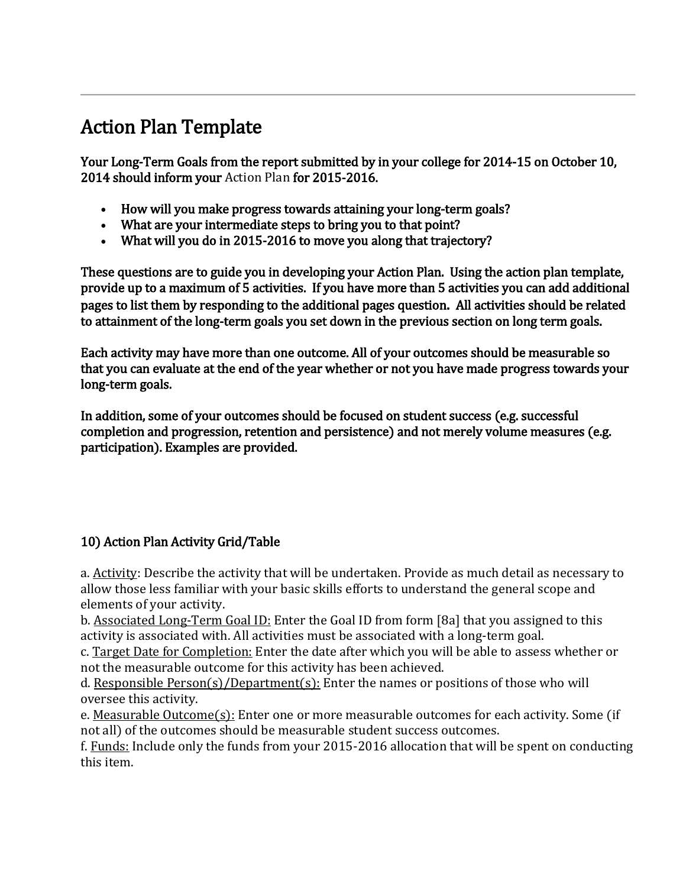## Action Plan Template

Your Long-Term Goals from the report submitted by in your college for 2014-15 on October 10, 2014 should inform your Action Plan for 2015-2016.

- How will you make progress towards attaining your long-term goals?
- What are your intermediate steps to bring you to that point?
- What will you do in 2015-2016 to move you along that trajectory?

These questions are to guide you in developing your Action Plan. Using the action plan template, provide up to a maximum of 5 activities. If you have more than 5 activities you can add additional pages to list them by responding to the additional pages question. All activities should be related to attainment of the long-term goals you set down in the previous section on long term goals.

Each activity may have more than one outcome. All of your outcomes should be measurable so that you can evaluate at the end of the year whether or not you have made progress towards your long-term goals.

In addition, some of your outcomes should be focused on student success (e.g. successful completion and progression, retention and persistence) and not merely volume measures (e.g. participation). Examples are provided.

## 10) Action Plan Activity Grid/Table

a. Activity: Describe the activity that will be undertaken. Provide as much detail as necessary to allow those less familiar with your basic skills efforts to understand the general scope and elements of your activity.

b. Associated Long-Term Goal ID: Enter the Goal ID from form [8a] that you assigned to this activity is associated with. All activities must be associated with a long-term goal.

c. Target Date for Completion: Enter the date after which you will be able to assess whether or not the measurable outcome for this activity has been achieved.

d. Responsible Person(s)/Department(s): Enter the names or positions of those who will oversee this activity.

e. Measurable Outcome(s): Enter one or more measurable outcomes for each activity. Some (if not all) of the outcomes should be measurable student success outcomes.

f. Funds: Include only the funds from your 2015-2016 allocation that will be spent on conducting this item.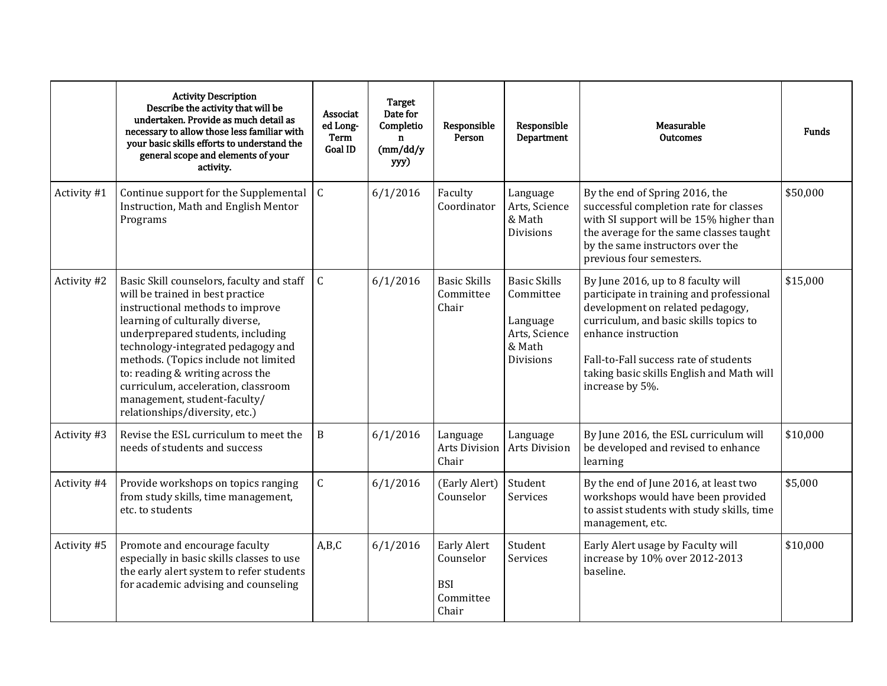|             | <b>Activity Description</b><br>Describe the activity that will be<br>undertaken. Provide as much detail as<br>necessary to allow those less familiar with<br>your basic skills efforts to understand the<br>general scope and elements of your<br>activity.                                                                                                                                                          | Associat<br>ed Long-<br>Term<br>Goal ID | Target<br>Date for<br>Completio<br>$\mathbf n$<br>(mm/dd/y)<br>yyy) | Responsible<br>Person                                               | Responsible<br>Department                                                                   | Measurable<br><b>Outcomes</b>                                                                                                                                                                                                                                                                | Funds    |
|-------------|----------------------------------------------------------------------------------------------------------------------------------------------------------------------------------------------------------------------------------------------------------------------------------------------------------------------------------------------------------------------------------------------------------------------|-----------------------------------------|---------------------------------------------------------------------|---------------------------------------------------------------------|---------------------------------------------------------------------------------------------|----------------------------------------------------------------------------------------------------------------------------------------------------------------------------------------------------------------------------------------------------------------------------------------------|----------|
| Activity #1 | Continue support for the Supplemental<br>Instruction, Math and English Mentor<br>Programs                                                                                                                                                                                                                                                                                                                            | $\mathsf{C}$                            | 6/1/2016                                                            | Faculty<br>Coordinator                                              | Language<br>Arts, Science<br>& Math<br>Divisions                                            | By the end of Spring 2016, the<br>successful completion rate for classes<br>with SI support will be 15% higher than<br>the average for the same classes taught<br>by the same instructors over the<br>previous four semesters.                                                               | \$50,000 |
| Activity #2 | Basic Skill counselors, faculty and staff<br>will be trained in best practice<br>instructional methods to improve<br>learning of culturally diverse,<br>underprepared students, including<br>technology-integrated pedagogy and<br>methods. (Topics include not limited<br>to: reading & writing across the<br>curriculum, acceleration, classroom<br>management, student-faculty/<br>relationships/diversity, etc.) | $\mathcal{C}$                           | 6/1/2016                                                            | <b>Basic Skills</b><br>Committee<br>Chair                           | <b>Basic Skills</b><br>Committee<br>Language<br>Arts, Science<br>& Math<br><b>Divisions</b> | By June 2016, up to 8 faculty will<br>participate in training and professional<br>development on related pedagogy,<br>curriculum, and basic skills topics to<br>enhance instruction<br>Fall-to-Fall success rate of students<br>taking basic skills English and Math will<br>increase by 5%. | \$15,000 |
| Activity #3 | Revise the ESL curriculum to meet the<br>needs of students and success                                                                                                                                                                                                                                                                                                                                               | $\mathbf B$                             | 6/1/2016                                                            | Language<br>Arts Division<br>Chair                                  | Language<br>Arts Division                                                                   | By June 2016, the ESL curriculum will<br>be developed and revised to enhance<br>learning                                                                                                                                                                                                     | \$10,000 |
| Activity #4 | Provide workshops on topics ranging<br>from study skills, time management,<br>etc. to students                                                                                                                                                                                                                                                                                                                       | $\mathsf{C}$                            | 6/1/2016                                                            | (Early Alert)<br>Counselor                                          | Student<br>Services                                                                         | By the end of June 2016, at least two<br>workshops would have been provided<br>to assist students with study skills, time<br>management, etc.                                                                                                                                                | \$5,000  |
| Activity #5 | Promote and encourage faculty<br>especially in basic skills classes to use<br>the early alert system to refer students<br>for academic advising and counseling                                                                                                                                                                                                                                                       | A,B,C                                   | 6/1/2016                                                            | <b>Early Alert</b><br>Counselor<br><b>BSI</b><br>Committee<br>Chair | Student<br>Services                                                                         | Early Alert usage by Faculty will<br>increase by 10% over 2012-2013<br>baseline.                                                                                                                                                                                                             | \$10,000 |